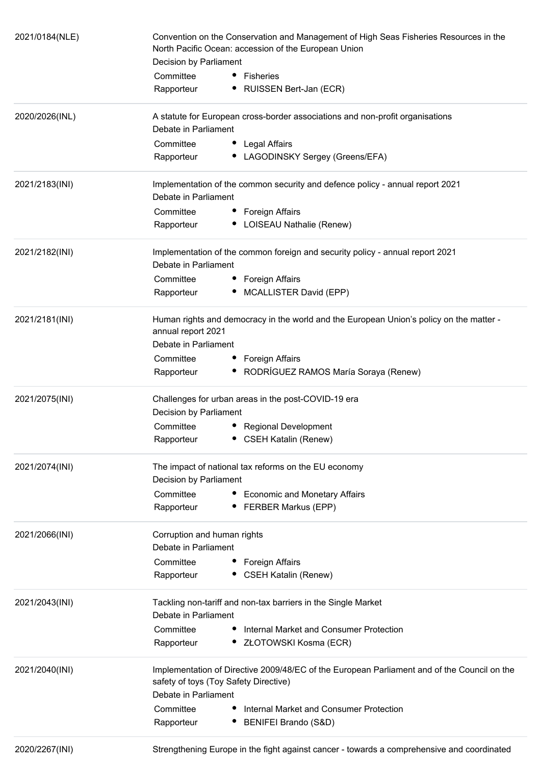| 2021/0184(NLE) | Convention on the Conservation and Management of High Seas Fisheries Resources in the<br>North Pacific Ocean: accession of the European Union<br>Decision by Parliament |  |
|----------------|-------------------------------------------------------------------------------------------------------------------------------------------------------------------------|--|
|                | Committee<br>Fisheries                                                                                                                                                  |  |
|                | Rapporteur<br>RUISSEN Bert-Jan (ECR)                                                                                                                                    |  |
| 2020/2026(INL) | A statute for European cross-border associations and non-profit organisations                                                                                           |  |
|                | Debate in Parliament                                                                                                                                                    |  |
|                | Committee<br>Legal Affairs                                                                                                                                              |  |
|                | LAGODINSKY Sergey (Greens/EFA)<br>Rapporteur                                                                                                                            |  |
| 2021/2183(INI) | Implementation of the common security and defence policy - annual report 2021                                                                                           |  |
|                | Debate in Parliament                                                                                                                                                    |  |
|                | Committee<br>Foreign Affairs                                                                                                                                            |  |
|                | • LOISEAU Nathalie (Renew)<br>Rapporteur                                                                                                                                |  |
| 2021/2182(INI) | Implementation of the common foreign and security policy - annual report 2021<br>Debate in Parliament                                                                   |  |
|                |                                                                                                                                                                         |  |
|                | Committee<br>Foreign Affairs                                                                                                                                            |  |
|                | MCALLISTER David (EPP)<br>Rapporteur                                                                                                                                    |  |
| 2021/2181(INI) | Human rights and democracy in the world and the European Union's policy on the matter -<br>annual report 2021                                                           |  |
|                | Debate in Parliament                                                                                                                                                    |  |
|                | Committee<br>Foreign Affairs                                                                                                                                            |  |
|                | • RODRÍGUEZ RAMOS María Soraya (Renew)<br>Rapporteur                                                                                                                    |  |
| 2021/2075(INI) | Challenges for urban areas in the post-COVID-19 era<br>Decision by Parliament                                                                                           |  |
|                | Committee<br><b>Regional Development</b>                                                                                                                                |  |
|                | <b>CSEH Katalin (Renew)</b><br>Rapporteur                                                                                                                               |  |
| 2021/2074(INI) | The impact of national tax reforms on the EU economy                                                                                                                    |  |
|                | Decision by Parliament                                                                                                                                                  |  |
|                | Committee<br>• Economic and Monetary Affairs<br>Rapporteur<br>• FERBER Markus (EPP)                                                                                     |  |
|                |                                                                                                                                                                         |  |
| 2021/2066(INI) | Corruption and human rights<br>Debate in Parliament                                                                                                                     |  |
|                | Committee<br><b>Foreign Affairs</b>                                                                                                                                     |  |
|                | • CSEH Katalin (Renew)<br>Rapporteur                                                                                                                                    |  |
| 2021/2043(INI) | Tackling non-tariff and non-tax barriers in the Single Market<br>Debate in Parliament                                                                                   |  |
|                | Committee<br>Internal Market and Consumer Protection                                                                                                                    |  |
|                | Rapporteur<br>• ZŁOTOWSKI Kosma (ECR)                                                                                                                                   |  |
| 2021/2040(INI) | Implementation of Directive 2009/48/EC of the European Parliament and of the Council on the<br>safety of toys (Toy Safety Directive)                                    |  |
|                | Debate in Parliament                                                                                                                                                    |  |
|                | Committee<br>Internal Market and Consumer Protection                                                                                                                    |  |
|                | Rapporteur<br>• BENIFEI Brando (S&D)                                                                                                                                    |  |
| 2020/2267(INI) | Strengthening Europe in the fight against cancer - towards a comprehensive and coordinated                                                                              |  |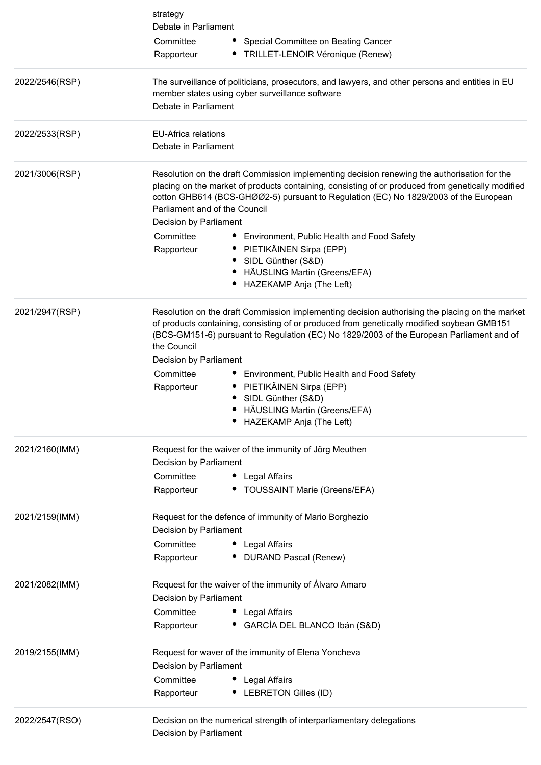|                | strategy                                                                                                                                                                                                                                                                                                                  |
|----------------|---------------------------------------------------------------------------------------------------------------------------------------------------------------------------------------------------------------------------------------------------------------------------------------------------------------------------|
|                | Debate in Parliament                                                                                                                                                                                                                                                                                                      |
|                | Committee<br>Special Committee on Beating Cancer                                                                                                                                                                                                                                                                          |
|                | • TRILLET-LENOIR Véronique (Renew)<br>Rapporteur                                                                                                                                                                                                                                                                          |
| 2022/2546(RSP) | The surveillance of politicians, prosecutors, and lawyers, and other persons and entities in EU<br>member states using cyber surveillance software                                                                                                                                                                        |
|                | Debate in Parliament                                                                                                                                                                                                                                                                                                      |
| 2022/2533(RSP) | <b>EU-Africa relations</b>                                                                                                                                                                                                                                                                                                |
|                | Debate in Parliament                                                                                                                                                                                                                                                                                                      |
| 2021/3006(RSP) | Resolution on the draft Commission implementing decision renewing the authorisation for the<br>placing on the market of products containing, consisting of or produced from genetically modified<br>cotton GHB614 (BCS-GHØØ2-5) pursuant to Regulation (EC) No 1829/2003 of the European<br>Parliament and of the Council |
|                | Decision by Parliament                                                                                                                                                                                                                                                                                                    |
|                | Committee<br>Environment, Public Health and Food Safety<br>Ξ.                                                                                                                                                                                                                                                             |
|                | • PIETIKÄINEN Sirpa (EPP)<br>Rapporteur<br>SIDL Günther (S&D)                                                                                                                                                                                                                                                             |
|                | HÄUSLING Martin (Greens/EFA)                                                                                                                                                                                                                                                                                              |
|                | HAZEKAMP Anja (The Left)                                                                                                                                                                                                                                                                                                  |
| 2021/2947(RSP) | Resolution on the draft Commission implementing decision authorising the placing on the market<br>of products containing, consisting of or produced from genetically modified soybean GMB151<br>(BCS-GM151-6) pursuant to Regulation (EC) No 1829/2003 of the European Parliament and of<br>the Council                   |
|                | Decision by Parliament                                                                                                                                                                                                                                                                                                    |
|                | Committee<br>• Environment, Public Health and Food Safety                                                                                                                                                                                                                                                                 |
|                | PIETIKÄINEN Sirpa (EPP)<br>Rapporteur                                                                                                                                                                                                                                                                                     |
|                | SIDL Günther (S&D)<br>HÄUSLING Martin (Greens/EFA)<br>٠                                                                                                                                                                                                                                                                   |
|                | HAZEKAMP Anja (The Left)                                                                                                                                                                                                                                                                                                  |
| 2021/2160(IMM) | Request for the waiver of the immunity of Jörg Meuthen<br>Decision by Parliament                                                                                                                                                                                                                                          |
|                | Committee<br>• Legal Affairs                                                                                                                                                                                                                                                                                              |
|                | <b>TOUSSAINT Marie (Greens/EFA)</b><br>Rapporteur                                                                                                                                                                                                                                                                         |
| 2021/2159(IMM) | Request for the defence of immunity of Mario Borghezio                                                                                                                                                                                                                                                                    |
|                | Decision by Parliament                                                                                                                                                                                                                                                                                                    |
|                | Committee<br>Legal Affairs                                                                                                                                                                                                                                                                                                |
|                | Rapporteur<br><b>DURAND Pascal (Renew)</b>                                                                                                                                                                                                                                                                                |
| 2021/2082(IMM) | Request for the waiver of the immunity of Álvaro Amaro<br>Decision by Parliament                                                                                                                                                                                                                                          |
|                | Committee<br>• Legal Affairs                                                                                                                                                                                                                                                                                              |
|                | · GARCÍA DEL BLANCO Ibán (S&D)<br>Rapporteur                                                                                                                                                                                                                                                                              |
| 2019/2155(IMM) | Request for waver of the immunity of Elena Yoncheva<br>Decision by Parliament                                                                                                                                                                                                                                             |
|                | Committee<br>• Legal Affairs                                                                                                                                                                                                                                                                                              |
|                | Rapporteur<br>• LEBRETON Gilles (ID)                                                                                                                                                                                                                                                                                      |
| 2022/2547(RSO) | Decision on the numerical strength of interparliamentary delegations                                                                                                                                                                                                                                                      |
|                | Decision by Parliament                                                                                                                                                                                                                                                                                                    |
|                |                                                                                                                                                                                                                                                                                                                           |